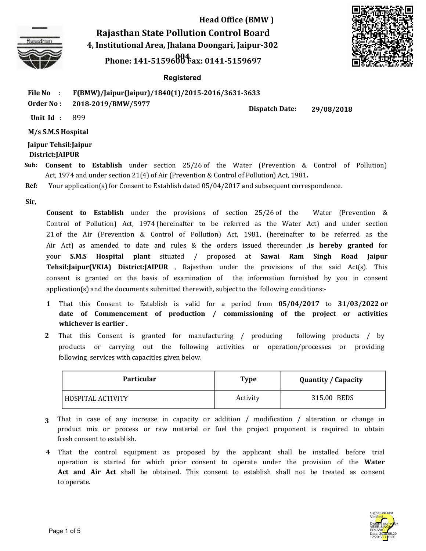

**Rajasthan State Pollution Control Board 4, Institutional Area, Jhalana Doongari, Jaipur-302** 

**<sup>004</sup> Phone: 141-5159600 Fax: 0141-5159697**



### **Registered**

**File No : F(BMW)/Jaipur(Jaipur)/1840(1)/2015-2016/3631-3633**

**Order No : 2018-2019/BMW/5977**

**Dispatch Date: 29/08/2018**

**Unit Id :** 899

**M/s S.M.S Hospital**

**Jaipur Tehsil:Jaipur District:JAIPUR**

- **Consent to Establish** under section 25/26 of the Water (Prevention & Control of Pollution) **Sub:** Act, 1974 and under section 21(4) of Air (Prevention & Control of Pollution) Act, 1981**.**
- **Ref:** Your application(s) for Consent to Establish dated 05/04/2017 and subsequent correspondence.

**Sir,**

**Consent to Establish** under the provisions of section 25/26 of the Water (Prevention & Control of Pollution) Act, 1974 (hereinafter to be referred as the Water Act) and under section 21 of the Air (Prevention & Control of Pollution) Act, 1981, (hereinafter to be referred as the Air Act) as amended to date and rules & the orders issued thereunder ,**is hereby granted** for your **S.M.S Hospital plant** situated / proposed at **Sawai Ram Singh Road Jaipur Tehsil:Jaipur(VKIA) District:JAIPUR** , Rajasthan under the provisions of the said Act(s). This consent is granted on the basis of examination of the information furnished by you in consent application(s) and the documents submitted therewith, subject to the following conditions:-

- That this Consent to Establish is valid for a period from **05/04/2017** to **31/03/2022 or 1 date of Commencement of production / commissioning of the project or activities whichever is earlier .**
- That this Consent is granted for manufacturing / producing following products / by **2** products or carrying out the following activities or operation/processes or providing following services with capacities given below.

| Particular        | Type     | <b>Quantity / Capacity</b> |
|-------------------|----------|----------------------------|
| HOSPITAL ACTIVITY | Activity | 315.00 BEDS                |

- That in case of any increase in capacity or addition / modification / alteration or change in **3** product mix or process or raw material or fuel the project proponent is required to obtain fresh consent to establish.
- That the control equipment as proposed by the applicant shall be installed before trial  **4**  operation is started for which prior consent to operate under the provision of the **Water Act and Air Act** shall be obtained. This consent to establish shall not be treated as consent to operate.

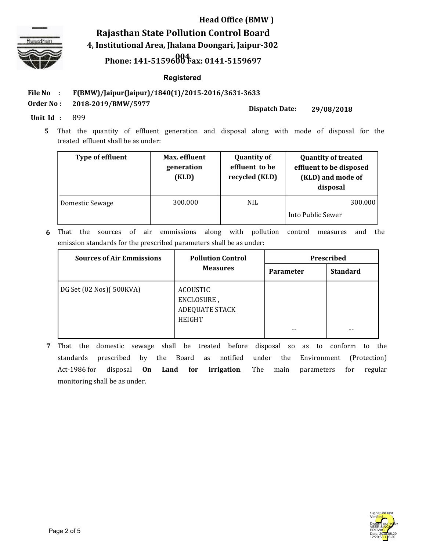

**Rajasthan State Pollution Control Board 4, Institutional Area, Jhalana Doongari, Jaipur-302** 

## **<sup>004</sup> Phone: 141-5159600 Fax: 0141-5159697**

### **Registered**

**File No : F(BMW)/Jaipur(Jaipur)/1840(1)/2015-2016/3631-3633**

**Order No : 2018-2019/BMW/5977**

**Dispatch Date: 29/08/2018**

**Unit Id :** 899

That the quantity of effluent generation and disposal along with mode of disposal for the  **5**  treated effluent shall be as under:

| <b>Type of effluent</b> | Max. effluent<br>generation<br>(KLD) | <b>Quantity of</b><br>effluent to be<br>recycled (KLD) | <b>Quantity of treated</b><br>effluent to be disposed<br>(KLD) and mode of<br>disposal |
|-------------------------|--------------------------------------|--------------------------------------------------------|----------------------------------------------------------------------------------------|
| Domestic Sewage         | 300.000                              | <b>NIL</b>                                             | 300.000                                                                                |
|                         |                                      |                                                        | Into Public Sewer                                                                      |

That the sources of air emmissions along with pollution control measures and the emission standards for the prescribed parameters shall be as under: **6**

| <b>Sources of Air Emmissions</b> | <b>Pollution Control</b><br><b>Measures</b>                             | Prescribed       |                 |
|----------------------------------|-------------------------------------------------------------------------|------------------|-----------------|
|                                  |                                                                         | <b>Parameter</b> | <b>Standard</b> |
| DG Set (02 Nos) [500KVA]         | <b>ACOUSTIC</b><br>ENCLOSURE,<br><b>ADEQUATE STACK</b><br><b>HEIGHT</b> |                  | --              |

That the domestic sewage shall be treated before disposal so as to conform to the **7** standards prescribed by the Board as notified under the Environment (Protection) Act-1986 for disposal **On Land for irrigation**. The main parameters for regular monitoring shall be as under.

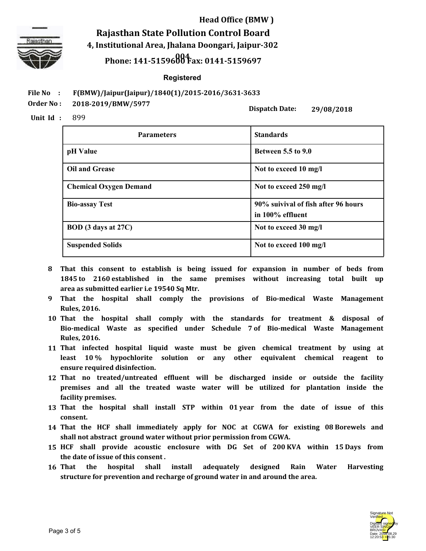

**Rajasthan State Pollution Control Board 4, Institutional Area, Jhalana Doongari, Jaipur-302 <sup>004</sup> Phone: 141-5159600 Fax: 0141-5159697**

#### **Registered**

**File No : F(BMW)/Jaipur(Jaipur)/1840(1)/2015-2016/3631-3633**

**Order No : 2018-2019/BMW/5977**

**Dispatch Date:**

**29/08/2018**

**Unit Id :** 899

| <b>Parameters</b>             | <b>Standards</b>                                        |
|-------------------------------|---------------------------------------------------------|
| pH Value                      | <b>Between 5.5 to 9.0</b>                               |
| <b>Oil and Grease</b>         | Not to exceed 10 mg/l                                   |
| <b>Chemical Oxygen Demand</b> | Not to exceed 250 mg/l                                  |
| <b>Bio-assay Test</b>         | 90% suivival of fish after 96 hours<br>in 100% effluent |
| BOD (3 days at 27C)           | Not to exceed 30 mg/l                                   |
| <b>Suspended Solids</b>       | Not to exceed 100 mg/l                                  |

- **That this consent to establish is being issued for expansion in number of beds from 8 1845 to 2160 established in the same premises without increasing total built up area as submitted earlier i.e 19540 Sq Mtr.**
- **That the hospital shall comply the provisions of Bio-medical Waste Management 9 Rules, 2016.**
- **That the hospital shall comply with the standards for treatment & disposal of 10 Bio-medical Waste as specified under Schedule 7 of Bio-medical Waste Management Rules, 2016.**
- **That infected hospital liquid waste must be given chemical treatment by using at 11 least 10 % hypochlorite solution or any other equivalent chemical reagent to ensure required disinfection.**
- **That no treated/untreated effluent will be discharged inside or outside the facility 12 premises and all the treated waste water will be utilized for plantation inside the facility premises.**
- **That the hospital shall install STP within 01 year from the date of issue of this 13 consent.**
- **That the HCF shall immediately apply for NOC at CGWA for existing 08 Borewels and 14 shall not abstract ground water without prior permission from CGWA.**
- **HCF shall provide acoustic enclosure with DG Set of 200 KVA within 15 Days from 15 the date of issue of this consent .**
- **That the hospital shall install adequately designed Rain Water Harvesting structure for prevention and recharge of ground water in and around the area. 16**

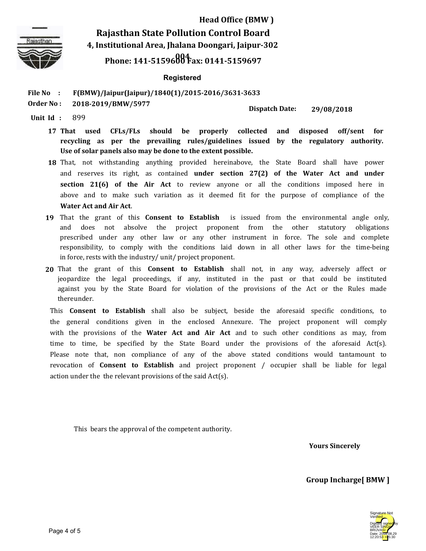

**Rajasthan State Pollution Control Board 4, Institutional Area, Jhalana Doongari, Jaipur-302** 

# **<sup>004</sup> Phone: 141-5159600 Fax: 0141-5159697**

### **Registered**

**File No : F(BMW)/Jaipur(Jaipur)/1840(1)/2015-2016/3631-3633**

**Order No : 2018-2019/BMW/5977**

**Dispatch Date: 29/08/2018**

**Unit Id :** 899

- **That used CFLs/FLs should be properly collected and disposed off/sent for recycling as per the prevailing rules/guidelines issued by the regulatory authority. Use of solar panels also may be done to the extent possible.** 17 That used
- **18** That, not withstanding anything provided hereinabove, the State Board shall have power and reserves its right, as contained **under section 27(2) of the Water Act and under section 21(6) of the Air Act** to review anyone or all the conditions imposed here in above and to make such variation as it deemed fit for the purpose of compliance of the **Water Act and Air Act**.
- **19** That the grant of this **Consent to Establish** is issued from the environmental angle only, and does not absolve the project proponent from the other statutory obligations prescribed under any other law or any other instrument in force. The sole and complete responsibility, to comply with the conditions laid down in all other laws for the time-being in force, rests with the industry/ unit/ project proponent.
- That the grant of this **Consent to Establish** shall not, in any way, adversely affect or **20** jeopardize the legal proceedings, if any, instituted in the past or that could be instituted against you by the State Board for violation of the provisions of the Act or the Rules made thereunder.

This **Consent to Establish** shall also be subject, beside the aforesaid specific conditions, to the general conditions given in the enclosed Annexure. The project proponent will comply with the provisions of the **Water Act and Air Act** and to such other conditions as may, from time to time, be specified by the State Board under the provisions of the aforesaid Act(s). Please note that, non compliance of any of the above stated conditions would tantamount to revocation of **Consent to Establish** and project proponent / occupier shall be liable for legal action under the the relevant provisions of the said Act(s).

This bears the approval of the competent authority.

**Yours Sincerely**

**Group Incharge[ BMW ]**